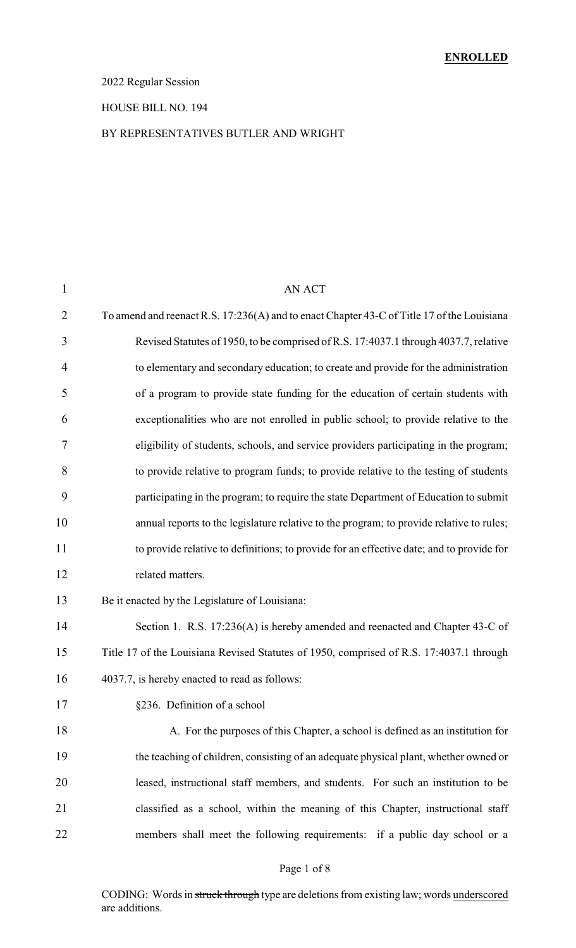### 2022 Regular Session

#### HOUSE BILL NO. 194

#### BY REPRESENTATIVES BUTLER AND WRIGHT

| $\mathbf{1}$   | <b>AN ACT</b>                                                                              |
|----------------|--------------------------------------------------------------------------------------------|
| $\overline{2}$ | To amend and reenact R.S. 17:236(A) and to enact Chapter 43-C of Title 17 of the Louisiana |
| 3              | Revised Statutes of 1950, to be comprised of R.S. 17:4037.1 through 4037.7, relative       |
| 4              | to elementary and secondary education; to create and provide for the administration        |
| 5              | of a program to provide state funding for the education of certain students with           |
| 6              | exceptionalities who are not enrolled in public school; to provide relative to the         |
| 7              | eligibility of students, schools, and service providers participating in the program;      |
| 8              | to provide relative to program funds; to provide relative to the testing of students       |
| 9              | participating in the program; to require the state Department of Education to submit       |
| 10             | annual reports to the legislature relative to the program; to provide relative to rules;   |
| 11             | to provide relative to definitions; to provide for an effective date; and to provide for   |
| 12             | related matters.                                                                           |
| 13             | Be it enacted by the Legislature of Louisiana:                                             |
| 14             | Section 1. R.S. 17:236(A) is hereby amended and reenacted and Chapter 43-C of              |
| 15             | Title 17 of the Louisiana Revised Statutes of 1950, comprised of R.S. 17:4037.1 through    |
| 16             | 4037.7, is hereby enacted to read as follows:                                              |
| 17             | §236. Definition of a school                                                               |
| 18             | A. For the purposes of this Chapter, a school is defined as an institution for             |
| 19             | the teaching of children, consisting of an adequate physical plant, whether owned or       |
| 20             | leased, instructional staff members, and students. For such an institution to be           |
| 21             | classified as a school, within the meaning of this Chapter, instructional staff            |
| 22             | members shall meet the following requirements: if a public day school or a                 |
|                |                                                                                            |

### Page 1 of 8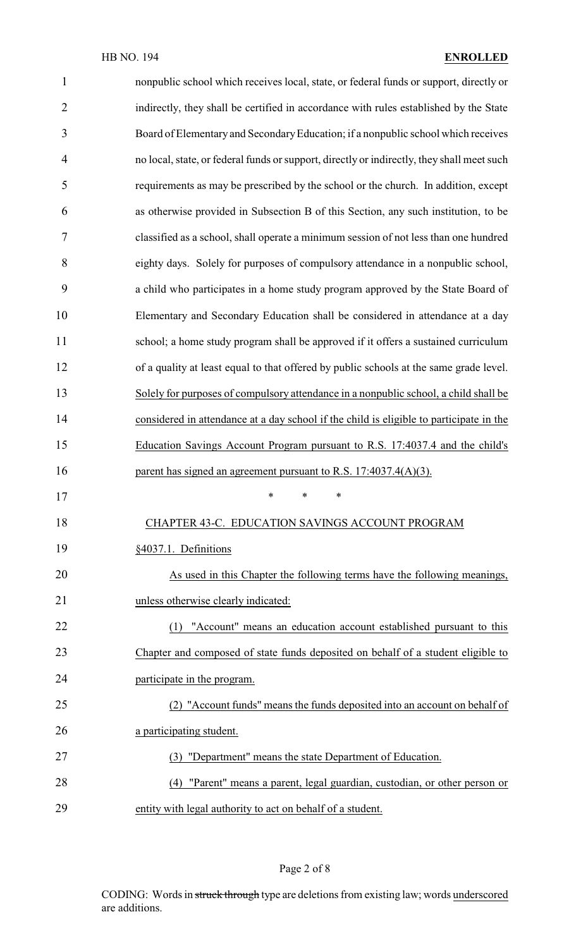| $\mathbf{1}$   | nonpublic school which receives local, state, or federal funds or support, directly or     |
|----------------|--------------------------------------------------------------------------------------------|
| $\overline{2}$ | indirectly, they shall be certified in accordance with rules established by the State      |
| 3              | Board of Elementary and Secondary Education; if a nonpublic school which receives          |
| $\overline{4}$ | no local, state, or federal funds or support, directly or indirectly, they shall meet such |
| 5              | requirements as may be prescribed by the school or the church. In addition, except         |
| 6              | as otherwise provided in Subsection B of this Section, any such institution, to be         |
| 7              | classified as a school, shall operate a minimum session of not less than one hundred       |
| 8              | eighty days. Solely for purposes of compulsory attendance in a nonpublic school,           |
| 9              | a child who participates in a home study program approved by the State Board of            |
| 10             | Elementary and Secondary Education shall be considered in attendance at a day              |
| 11             | school; a home study program shall be approved if it offers a sustained curriculum         |
| 12             | of a quality at least equal to that offered by public schools at the same grade level.     |
| 13             | Solely for purposes of compulsory attendance in a nonpublic school, a child shall be       |
| 14             | considered in attendance at a day school if the child is eligible to participate in the    |
| 15             | Education Savings Account Program pursuant to R.S. 17:4037.4 and the child's               |
| 16             | parent has signed an agreement pursuant to R.S. $17:4037.4(A)(3)$ .                        |
| 17             | ∗<br>$\ast$<br>∗                                                                           |
| 18             | CHAPTER 43-C. EDUCATION SAVINGS ACCOUNT PROGRAM                                            |
| 19             | §4037.1. Definitions                                                                       |
| 20             | As used in this Chapter the following terms have the following meanings,                   |
| 21             | unless otherwise clearly indicated:                                                        |
| 22             | "Account" means an education account established pursuant to this<br>(1)                   |
| 23             | Chapter and composed of state funds deposited on behalf of a student eligible to           |
| 24             | participate in the program.                                                                |
| 25             | (2) "Account funds" means the funds deposited into an account on behalf of                 |
| 26             | a participating student.                                                                   |
| 27             | "Department" means the state Department of Education.<br>(3)                               |
| 28             | (4) "Parent" means a parent, legal guardian, custodian, or other person or                 |
| 29             | entity with legal authority to act on behalf of a student.                                 |

# Page 2 of 8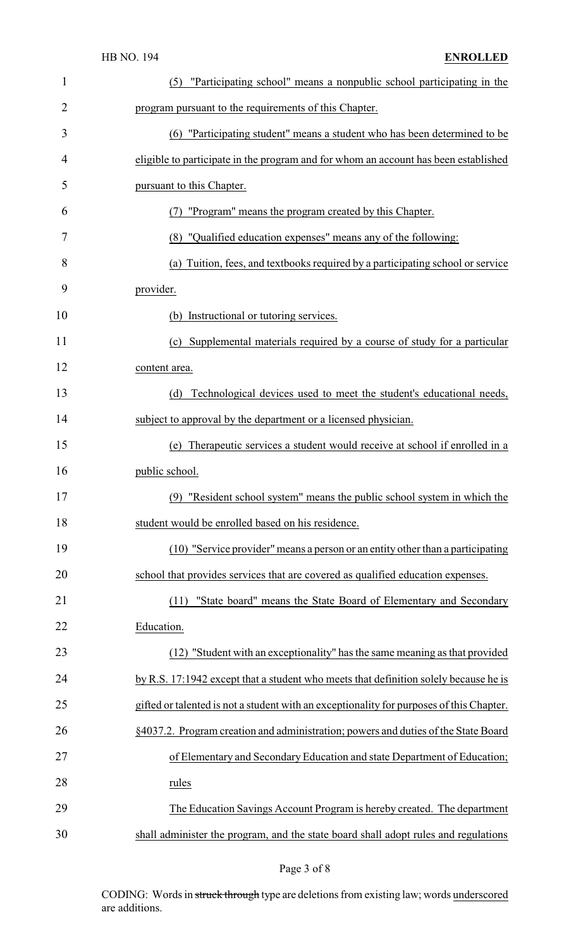| $\mathbf{1}$   | "Participating school" means a nonpublic school participating in the<br>(5)              |
|----------------|------------------------------------------------------------------------------------------|
| $\overline{2}$ | program pursuant to the requirements of this Chapter.                                    |
| 3              | (6) "Participating student" means a student who has been determined to be                |
| 4              | eligible to participate in the program and for whom an account has been established      |
| 5              | pursuant to this Chapter.                                                                |
| 6              | "Program" means the program created by this Chapter.                                     |
| 7              | (8) "Qualified education expenses" means any of the following:                           |
| 8              | (a) Tuition, fees, and textbooks required by a participating school or service           |
| 9              | provider.                                                                                |
| 10             | (b) Instructional or tutoring services.                                                  |
| 11             | Supplemental materials required by a course of study for a particular<br>(c)             |
| 12             | content area.                                                                            |
| 13             | Technological devices used to meet the student's educational needs,<br>(d)               |
| 14             | subject to approval by the department or a licensed physician.                           |
| 15             | (e) Therapeutic services a student would receive at school if enrolled in a              |
| 16             | public school.                                                                           |
| 17             | (9)<br>"Resident school system" means the public school system in which the              |
| 18             | student would be enrolled based on his residence.                                        |
| 19             | (10) "Service provider" means a person or an entity other than a participating           |
| 20             | school that provides services that are covered as qualified education expenses.          |
| 21             | "State board" means the State Board of Elementary and Secondary<br>(11)                  |
| 22             | Education.                                                                               |
| 23             | (12) "Student with an exceptionality" has the same meaning as that provided              |
| 24             | by R.S. 17:1942 except that a student who meets that definition solely because he is     |
| 25             | gifted or talented is not a student with an exceptionality for purposes of this Chapter. |
| 26             | §4037.2. Program creation and administration; powers and duties of the State Board       |
| 27             | of Elementary and Secondary Education and state Department of Education;                 |
| 28             | rules                                                                                    |
| 29             | The Education Savings Account Program is hereby created. The department                  |
| 30             | shall administer the program, and the state board shall adopt rules and regulations      |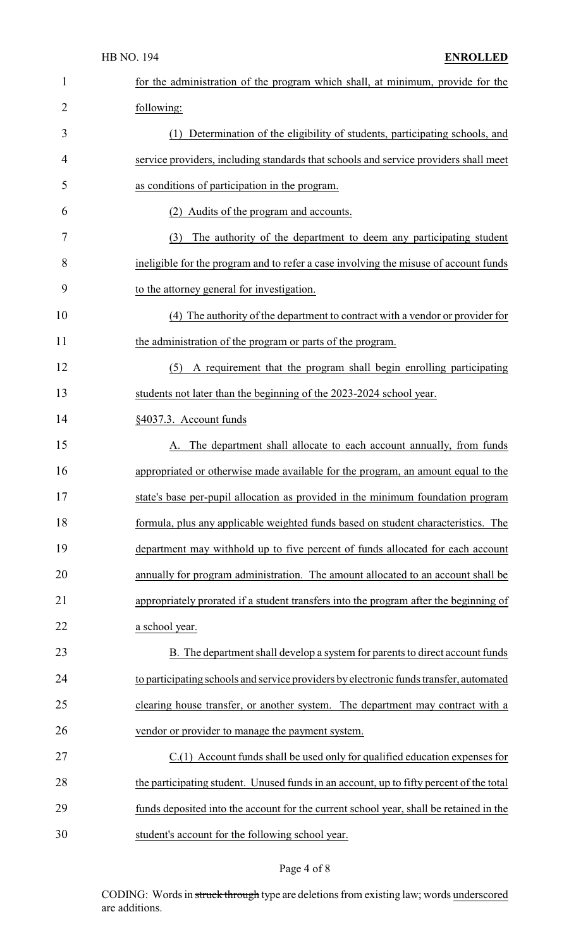|                | <b>HB NO. 194</b><br><b>ENROLLED</b>                                                    |
|----------------|-----------------------------------------------------------------------------------------|
| 1              | for the administration of the program which shall, at minimum, provide for the          |
| $\overline{2}$ | following:                                                                              |
| 3              | (1) Determination of the eligibility of students, participating schools, and            |
| 4              | service providers, including standards that schools and service providers shall meet    |
| 5              | as conditions of participation in the program.                                          |
| 6              | (2) Audits of the program and accounts.                                                 |
| 7              | (3)<br>The authority of the department to deem any participating student                |
| 8              | ineligible for the program and to refer a case involving the misuse of account funds    |
| 9              | to the attorney general for investigation.                                              |
| 10             | (4) The authority of the department to contract with a vendor or provider for           |
| 11             | the administration of the program or parts of the program.                              |
| 12             | A requirement that the program shall begin enrolling participating<br>(5)               |
| 13             | students not later than the beginning of the 2023-2024 school year.                     |
| 14             | §4037.3. Account funds                                                                  |
| 15             | The department shall allocate to each account annually, from funds<br>A.                |
| 16             | appropriated or otherwise made available for the program, an amount equal to the        |
| 17             | state's base per-pupil allocation as provided in the minimum foundation program         |
| 18             | formula, plus any applicable weighted funds based on student characteristics. The       |
| 19             | department may withhold up to five percent of funds allocated for each account          |
| 20             | annually for program administration. The amount allocated to an account shall be        |
| 21             | appropriately prorated if a student transfers into the program after the beginning of   |
| 22             | a school year.                                                                          |
| 23             | B. The department shall develop a system for parents to direct account funds            |
| 24             | to participating schools and service providers by electronic funds transfer, automated  |
| 25             | clearing house transfer, or another system. The department may contract with a          |
| 26             | vendor or provider to manage the payment system.                                        |
| 27             | $C(1)$ Account funds shall be used only for qualified education expenses for            |
| 28             | the participating student. Unused funds in an account, up to fifty percent of the total |
| 29             | funds deposited into the account for the current school year, shall be retained in the  |
| 30             | student's account for the following school year.                                        |

# Page 4 of 8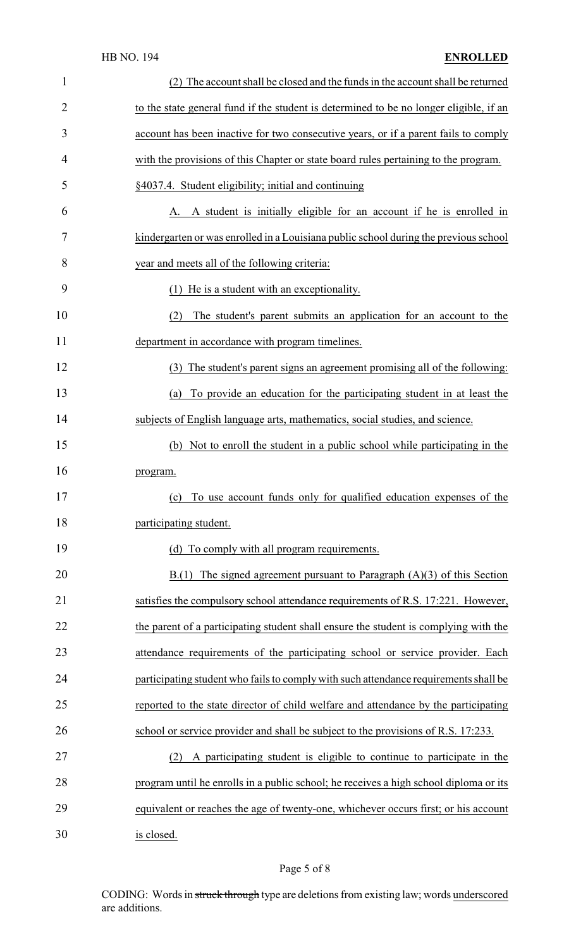| $\mathbf{1}$ | (2) The account shall be closed and the funds in the account shall be returned         |
|--------------|----------------------------------------------------------------------------------------|
| 2            | to the state general fund if the student is determined to be no longer eligible, if an |
| 3            | account has been inactive for two consecutive years, or if a parent fails to comply    |
| 4            | with the provisions of this Chapter or state board rules pertaining to the program.    |
| 5            | §4037.4. Student eligibility; initial and continuing                                   |
| 6            | A. A student is initially eligible for an account if he is enrolled in                 |
| 7            | kindergarten or was enrolled in a Louisiana public school during the previous school   |
| 8            | year and meets all of the following criteria:                                          |
| 9            | He is a student with an exceptionality.<br>(1)                                         |
| 10           | The student's parent submits an application for an account to the<br>(2)               |
| 11           | department in accordance with program timelines.                                       |
| 12           | (3) The student's parent signs an agreement promising all of the following:            |
| 13           | To provide an education for the participating student in at least the<br>(a)           |
| 14           | subjects of English language arts, mathematics, social studies, and science.           |
| 15           | (b) Not to enroll the student in a public school while participating in the            |
| 16           | program.                                                                               |
| 17           | (c) To use account funds only for qualified education expenses of the                  |
| 18           | participating student.                                                                 |
| 19           | (d) To comply with all program requirements.                                           |
| 20           | $B(1)$ The signed agreement pursuant to Paragraph $(A)(3)$ of this Section             |
| 21           | satisfies the compulsory school attendance requirements of R.S. 17:221. However,       |
| 22           | the parent of a participating student shall ensure the student is complying with the   |
| 23           | attendance requirements of the participating school or service provider. Each          |
| 24           | participating student who fails to comply with such attendance requirements shall be   |
| 25           | reported to the state director of child welfare and attendance by the participating    |
| 26           | school or service provider and shall be subject to the provisions of R.S. 17:233.      |
| 27           | A participating student is eligible to continue to participate in the<br>(2)           |
| 28           | program until he enrolls in a public school; he receives a high school diploma or its  |
| 29           | equivalent or reaches the age of twenty-one, whichever occurs first; or his account    |
| 30           | is closed.                                                                             |

# Page 5 of 8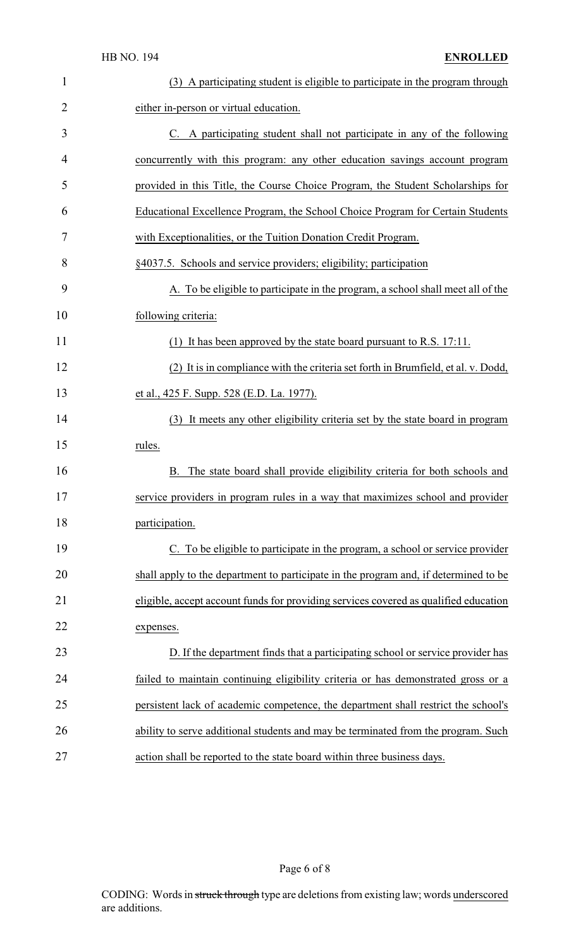| $\mathbf{1}$   | (3) A participating student is eligible to participate in the program through        |
|----------------|--------------------------------------------------------------------------------------|
| $\overline{2}$ | either in-person or virtual education.                                               |
| 3              | C. A participating student shall not participate in any of the following             |
| 4              | concurrently with this program: any other education savings account program          |
| 5              | provided in this Title, the Course Choice Program, the Student Scholarships for      |
| 6              | Educational Excellence Program, the School Choice Program for Certain Students       |
| 7              | with Exceptionalities, or the Tuition Donation Credit Program.                       |
| 8              | §4037.5. Schools and service providers; eligibility; participation                   |
| 9              | A. To be eligible to participate in the program, a school shall meet all of the      |
| 10             | following criteria:                                                                  |
| 11             | (1) It has been approved by the state board pursuant to R.S. 17:11.                  |
| 12             | (2) It is in compliance with the criteria set forth in Brumfield, et al. v. Dodd,    |
| 13             | et al., 425 F. Supp. 528 (E.D. La. 1977).                                            |
| 14             | (3) It meets any other eligibility criteria set by the state board in program        |
| 15             | rules.                                                                               |
| 16             | The state board shall provide eligibility criteria for both schools and<br>B.        |
| 17             | service providers in program rules in a way that maximizes school and provider       |
| 18             | participation.                                                                       |
| 19             | C. To be eligible to participate in the program, a school or service provider        |
| 20             | shall apply to the department to participate in the program and, if determined to be |
| 21             | eligible, accept account funds for providing services covered as qualified education |
| 22             | expenses.                                                                            |
| 23             | D. If the department finds that a participating school or service provider has       |
| 24             | failed to maintain continuing eligibility criteria or has demonstrated gross or a    |
| 25             | persistent lack of academic competence, the department shall restrict the school's   |
| 26             | ability to serve additional students and may be terminated from the program. Such    |
| 27             | action shall be reported to the state board within three business days.              |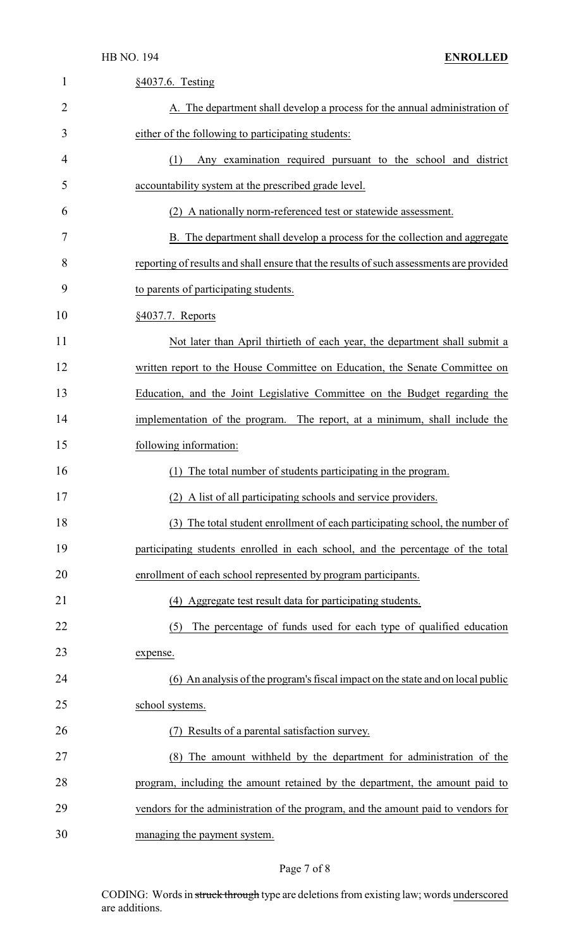| 1  | §4037.6. Testing                                                                        |
|----|-----------------------------------------------------------------------------------------|
| 2  | A. The department shall develop a process for the annual administration of              |
| 3  | either of the following to participating students:                                      |
| 4  | Any examination required pursuant to the school and district<br>(1)                     |
| 5  | accountability system at the prescribed grade level.                                    |
| 6  | (2) A nationally norm-referenced test or statewide assessment.                          |
| 7  | B. The department shall develop a process for the collection and aggregate              |
| 8  | reporting of results and shall ensure that the results of such assessments are provided |
| 9  | to parents of participating students.                                                   |
| 10 | §4037.7. Reports                                                                        |
| 11 | Not later than April thirtieth of each year, the department shall submit a              |
| 12 | written report to the House Committee on Education, the Senate Committee on             |
| 13 | Education, and the Joint Legislative Committee on the Budget regarding the              |
| 14 | implementation of the program. The report, at a minimum, shall include the              |
| 15 | following information:                                                                  |
| 16 | The total number of students participating in the program.                              |
| 17 | (2) A list of all participating schools and service providers.                          |
| 18 | (3) The total student enrollment of each participating school, the number of            |
| 19 | participating students enrolled in each school, and the percentage of the total         |
| 20 | enrollment of each school represented by program participants.                          |
| 21 | (4) Aggregate test result data for participating students.                              |
| 22 | The percentage of funds used for each type of qualified education<br>(5)                |
| 23 | expense.                                                                                |
| 24 | (6) An analysis of the program's fiscal impact on the state and on local public         |
| 25 | school systems.                                                                         |
| 26 | Results of a parental satisfaction survey.                                              |
| 27 | The amount withheld by the department for administration of the<br>(8)                  |
| 28 | program, including the amount retained by the department, the amount paid to            |
| 29 | vendors for the administration of the program, and the amount paid to vendors for       |
| 30 | managing the payment system.                                                            |

# Page 7 of 8